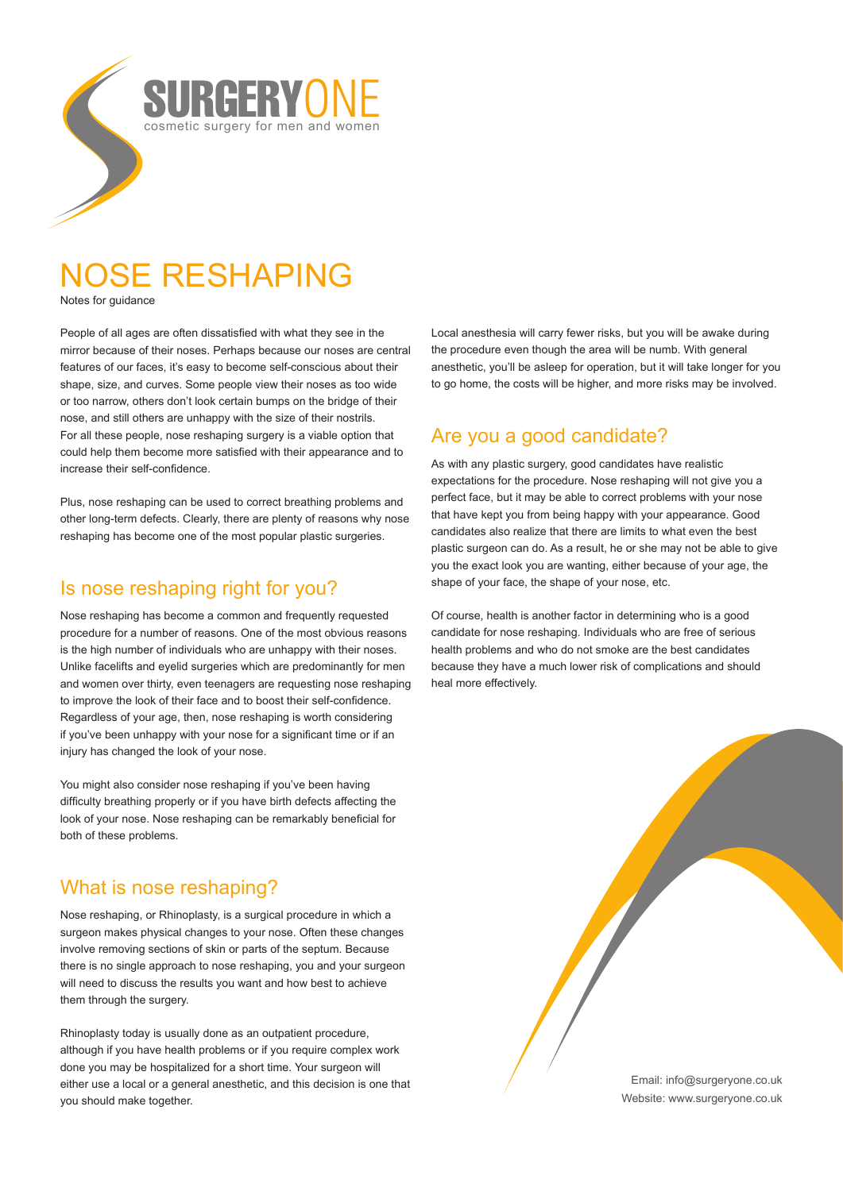

# NOSE RESHAPING

Notes for guidance

People of all ages are often dissatisfied with what they see in the mirror because of their noses. Perhaps because our noses are central features of our faces, it's easy to become self-conscious about their shape, size, and curves. Some people view their noses as too wide or too narrow, others don't look certain bumps on the bridge of their nose, and still others are unhappy with the size of their nostrils. For all these people, nose reshaping surgery is a viable option that could help them become more satisfied with their appearance and to increase their self-confidence.

Plus, nose reshaping can be used to correct breathing problems and other long-term defects. Clearly, there are plenty of reasons why nose reshaping has become one of the most popular plastic surgeries.

## Is nose reshaping right for you?

Nose reshaping has become a common and frequently requested procedure for a number of reasons. One of the most obvious reasons is the high number of individuals who are unhappy with their noses. Unlike facelifts and eyelid surgeries which are predominantly for men and women over thirty, even teenagers are requesting nose reshaping to improve the look of their face and to boost their self-confidence. Regardless of your age, then, nose reshaping is worth considering if you've been unhappy with your nose for a significant time or if an injury has changed the look of your nose.

You might also consider nose reshaping if you've been having difficulty breathing properly or if you have birth defects affecting the look of your nose. Nose reshaping can be remarkably beneficial for both of these problems.

# What is nose reshaping?

Nose reshaping, or Rhinoplasty, is a surgical procedure in which a surgeon makes physical changes to your nose. Often these changes involve removing sections of skin or parts of the septum. Because there is no single approach to nose reshaping, you and your surgeon will need to discuss the results you want and how best to achieve them through the surgery.

Rhinoplasty today is usually done as an outpatient procedure, although if you have health problems or if you require complex work done you may be hospitalized for a short time. Your surgeon will either use a local or a general anesthetic, and this decision is one that you should make together.

Local anesthesia will carry fewer risks, but you will be awake during the procedure even though the area will be numb. With general anesthetic, you'll be asleep for operation, but it will take longer for you to go home, the costs will be higher, and more risks may be involved.

## Are you a good candidate?

As with any plastic surgery, good candidates have realistic expectations for the procedure. Nose reshaping will not give you a perfect face, but it may be able to correct problems with your nose that have kept you from being happy with your appearance. Good candidates also realize that there are limits to what even the best plastic surgeon can do. As a result, he or she may not be able to give you the exact look you are wanting, either because of your age, the shape of your face, the shape of your nose, etc.

Of course, health is another factor in determining who is a good candidate for nose reshaping. Individuals who are free of serious health problems and who do not smoke are the best candidates because they have a much lower risk of complications and should heal more effectively.

> Email: info@surgeryone.co.uk Website: www.surgeryone.co.uk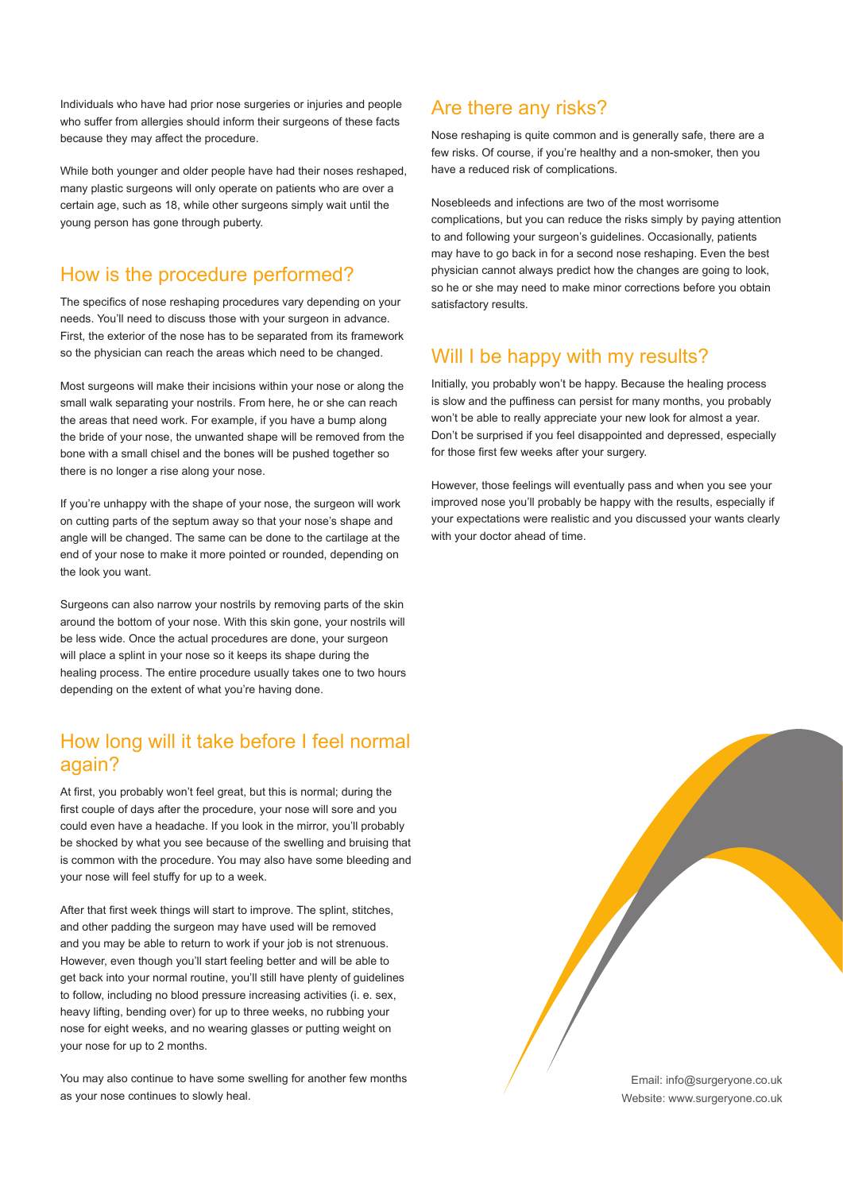Individuals who have had prior nose surgeries or injuries and people who suffer from allergies should inform their surgeons of these facts because they may affect the procedure.

While both younger and older people have had their noses reshaped, many plastic surgeons will only operate on patients who are over a certain age, such as 18, while other surgeons simply wait until the young person has gone through puberty.

## How is the procedure performed?

The specifics of nose reshaping procedures vary depending on your needs. You'll need to discuss those with your surgeon in advance. First, the exterior of the nose has to be separated from its framework so the physician can reach the areas which need to be changed.

Most surgeons will make their incisions within your nose or along the small walk separating your nostrils. From here, he or she can reach the areas that need work. For example, if you have a bump along the bride of your nose, the unwanted shape will be removed from the bone with a small chisel and the bones will be pushed together so there is no longer a rise along your nose.

If you're unhappy with the shape of your nose, the surgeon will work on cutting parts of the septum away so that your nose's shape and angle will be changed. The same can be done to the cartilage at the end of your nose to make it more pointed or rounded, depending on the look you want.

Surgeons can also narrow your nostrils by removing parts of the skin around the bottom of your nose. With this skin gone, your nostrils will be less wide. Once the actual procedures are done, your surgeon will place a splint in your nose so it keeps its shape during the healing process. The entire procedure usually takes one to two hours depending on the extent of what you're having done.

#### How long will it take before I feel normal again?

At first, you probably won't feel great, but this is normal; during the first couple of days after the procedure, your nose will sore and you could even have a headache. If you look in the mirror, you'll probably be shocked by what you see because of the swelling and bruising that is common with the procedure. You may also have some bleeding and your nose will feel stuffy for up to a week.

After that first week things will start to improve. The splint, stitches, and other padding the surgeon may have used will be removed and you may be able to return to work if your job is not strenuous. However, even though you'll start feeling better and will be able to get back into your normal routine, you'll still have plenty of guidelines to follow, including no blood pressure increasing activities (i. e. sex, heavy lifting, bending over) for up to three weeks, no rubbing your nose for eight weeks, and no wearing glasses or putting weight on your nose for up to 2 months.

You may also continue to have some swelling for another few months as your nose continues to slowly heal.

#### Are there any risks?

Nose reshaping is quite common and is generally safe, there are a few risks. Of course, if you're healthy and a non-smoker, then you have a reduced risk of complications.

Nosebleeds and infections are two of the most worrisome complications, but you can reduce the risks simply by paying attention to and following your surgeon's guidelines. Occasionally, patients may have to go back in for a second nose reshaping. Even the best physician cannot always predict how the changes are going to look, so he or she may need to make minor corrections before you obtain satisfactory results.

## Will I be happy with my results?

Initially, you probably won't be happy. Because the healing process is slow and the puffiness can persist for many months, you probably won't be able to really appreciate your new look for almost a year. Don't be surprised if you feel disappointed and depressed, especially for those first few weeks after your surgery.

However, those feelings will eventually pass and when you see your improved nose you'll probably be happy with the results, especially if your expectations were realistic and you discussed your wants clearly with your doctor ahead of time.

> Email: info@surgeryone.co.uk Website: www.surgeryone.co.uk